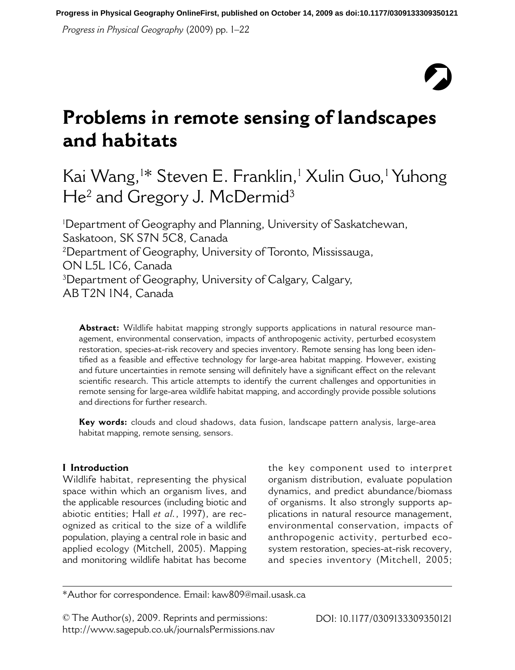*Progress in Physical Geography* (2009) pp. 1–22

# 0

# **Problems in remote sensing of landscapes and habitats**

# Kai Wang,<sup>1\*</sup> Steven E. Franklin,<sup>1</sup> Xulin Guo,<sup>1</sup> Yuhong  $\operatorname{\mathsf{He}}^{\scriptscriptstyle 2}$  and Gregory J. McDermid $^{\scriptscriptstyle 3}$

1 Department of Geography and Planning, University of Saskatchewan, Saskatoon, SK S7N 5C8, Canada  $^{2}$ Department of Geography, University of Toronto, Mississauga, ON L5L 1C6, Canada 3 Department of Geography, University of Calgary, Calgary, AB T2N 1N4, Canada

**Abstract:** Wildlife habitat mapping strongly supports applications in natural resource management, environmental conservation, impacts of anthropogenic activity, perturbed ecosystem restoration, species-at-risk recovery and species inventory. Remote sensing has long been identified as a feasible and effective technology for large-area habitat mapping. However, existing and future uncertainties in remote sensing will definitely have a significant effect on the relevant scientific research. This article attempts to identify the current challenges and opportunities in remote sensing for large-area wildlife habitat mapping, and accordingly provide possible solutions and directions for further research.

**Key words:** clouds and cloud shadows, data fusion, landscape pattern analysis, large-area habitat mapping, remote sensing, sensors.

#### **I Introduction**

Wildlife habitat, representing the physical space within which an organism lives, and the applicable resources (including biotic and abiotic entities; Hall *et al.*, 1997), are recognized as critical to the size of a wildlife population, playing a central role in basic and applied ecology (Mitchell, 2005). Mapping and monitoring wildlife habitat has become

the key component used to interpret organism distribution, evaluate population dynamics, and predict abundance/biomass of organisms. It also strongly supports applications in natural resource management, environmental conservation, impacts of anthropogenic activity, perturbed ecosystem restoration, species-at-risk recovery, and species inventory (Mitchell, 2005;

\*Author for correspondence. Email: kaw809@mail.usask.ca

© The Author(s), 2009. Reprints and permissions: http://www.sagepub.co.uk/journalsPermissions.nav DOI: 10.1177/0309133309350121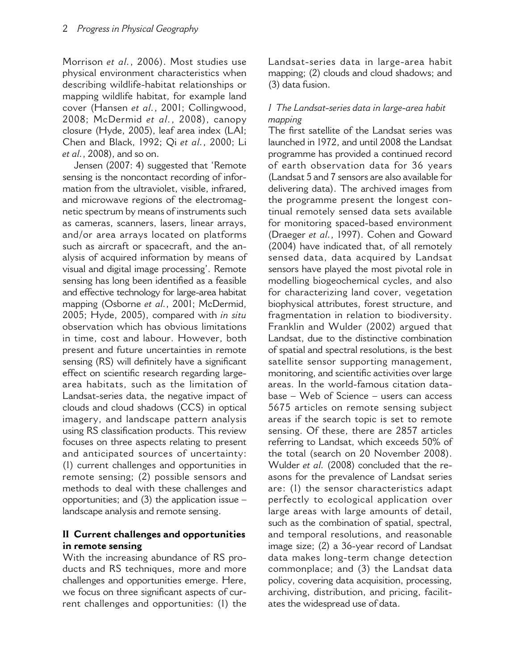Morrison *et al.*, 2006). Most studies use physical environment characteristics when describing wildlife-habitat relationships or mapping wildlife habitat, for example land cover (Hansen *et al.*, 2001; Collingwood, 2008; McDermid *et al.*, 2008), canopy closure (Hyde, 2005), leaf area index (LAI; Chen and Black, 1992; Qi *et al.*, 2000; Li *et al.*, 2008), and so on.

Jensen (2007: 4) suggested that 'Remote sensing is the noncontact recording of information from the ultraviolet, visible, infrared, and microwave regions of the electromagnetic spectrum by means of instruments such as cameras, scanners, lasers, linear arrays, and/or area arrays located on platforms such as aircraft or spacecraft, and the analysis of acquired information by means of visual and digital image processing'. Remote sensing has long been identified as a feasible and effective technology for large-area habitat mapping (Osborne *et al.*, 2001; McDermid, 2005; Hyde, 2005), compared with *in situ* observation which has obvious limitations in time, cost and labour. However, both present and future uncertainties in remote sensing (RS) will definitely have a significant effect on scientific research regarding largearea habitats, such as the limitation of Landsat-series data, the negative impact of clouds and cloud shadows (CCS) in optical imagery, and landscape pattern analysis using RS classification products. This review focuses on three aspects relating to present and anticipated sources of uncertainty: (1) current challenges and opportunities in remote sensing; (2) possible sensors and methods to deal with these challenges and opportunities; and (3) the application issue – landscape analysis and remote sensing.

## **II Current challenges and opportunities in remote sensing**

With the increasing abundance of RS products and RS techniques, more and more challenges and opportunities emerge. Here, we focus on three significant aspects of current challenges and opportunities: (1) the Landsat-series data in large-area habit mapping; (2) clouds and cloud shadows; and (3) data fusion.

## *1 The Landsat-series data in large-area habit mapping*

The first satellite of the Landsat series was launched in 1972, and until 2008 the Landsat programme has provided a continued record of earth observation data for 36 years (Landsat 5 and 7 sensors are also available for delivering data). The archived images from the programme present the longest continual remotely sensed data sets available for monitoring spaced-based environment (Draeger *et al.*, 1997). Cohen and Goward (2004) have indicated that, of all remotely sensed data, data acquired by Landsat sensors have played the most pivotal role in modelling biogeochemical cycles, and also for characterizing land cover, vegetation biophysical attributes, forest structure, and fragmentation in relation to biodiversity. Franklin and Wulder (2002) argued that Landsat, due to the distinctive combination of spatial and spectral resolutions, is the best satellite sensor supporting management, monitoring, and scientific activities over large areas. In the world-famous citation database – Web of Science – users can access 5675 articles on remote sensing subject areas if the search topic is set to remote sensing. Of these, there are 2857 articles referring to Landsat, which exceeds 50% of the total (search on 20 November 2008). Wulder *et al.* (2008) concluded that the reasons for the prevalence of Landsat series are: (1) the sensor characteristics adapt perfectly to ecological application over large areas with large amounts of detail, such as the combination of spatial, spectral, and temporal resolutions, and reasonable image size; (2) a 36-year record of Landsat data makes long-term change detection commonplace; and (3) the Landsat data policy, covering data acquisition, processing, archiving, distribution, and pricing, facilitates the widespread use of data.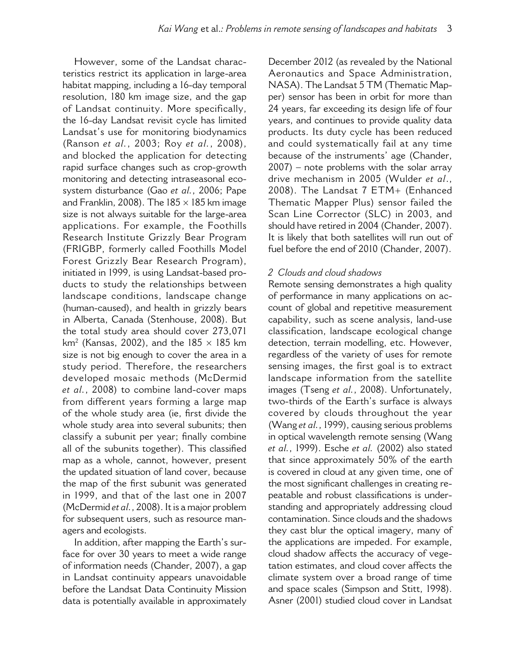However, some of the Landsat characteristics restrict its application in large-area habitat mapping, including a 16-day temporal resolution, 180 km image size, and the gap of Landsat continuity. More specifically, the 16-day Landsat revisit cycle has limited Landsat's use for monitoring biodynamics (Ranson *et al.*, 2003; Roy *et al.*, 2008), and blocked the application for detecting rapid surface changes such as crop-growth monitoring and detecting intraseasonal ecosystem disturbance (Gao *et al.*, 2006; Pape and Franklin, 2008). The  $185 \times 185$  km image size is not always suitable for the large-area applications. For example, the Foothills Research Institute Grizzly Bear Program (FRIGBP, formerly called Foothills Model Forest Grizzly Bear Research Program), initiated in 1999, is using Landsat-based products to study the relationships between landscape conditions, landscape change (human-caused), and health in grizzly bears in Alberta, Canada (Stenhouse, 2008). But the total study area should cover 273,071 km $^2$  (Kansas, 2002), and the 185  $\times$  185 km size is not big enough to cover the area in a study period. Therefore, the researchers developed mosaic methods (McDermid *et al.*, 2008) to combine land-cover maps from different years forming a large map of the whole study area (ie, first divide the whole study area into several subunits; then classify a subunit per year; finally combine all of the subunits together). This classified map as a whole, cannot, however, present the updated situation of land cover, because the map of the first subunit was generated in 1999, and that of the last one in 2007 (McDermid *et al.*, 2008). It is a major problem for subsequent users, such as resource managers and ecologists.

In addition, after mapping the Earth's surface for over 30 years to meet a wide range of information needs (Chander, 2007), a gap in Landsat continuity appears unavoidable before the Landsat Data Continuity Mission data is potentially available in approximately December 2012 (as revealed by the National Aeronautics and Space Administration, NASA). The Landsat 5 TM (Thematic Mapper) sensor has been in orbit for more than 24 years, far exceeding its design life of four years, and continues to provide quality data products. Its duty cycle has been reduced and could systematically fail at any time because of the instruments' age (Chander, 2007) – note problems with the solar array drive mechanism in 2005 (Wulder *et al*., 2008). The Landsat 7 ETM+ (Enhanced Thematic Mapper Plus) sensor failed the Scan Line Corrector (SLC) in 2003, and should have retired in 2004 (Chander, 2007). It is likely that both satellites will run out of fuel before the end of 2010 (Chander, 2007).

#### *2 Clouds and cloud shadows*

Remote sensing demonstrates a high quality of performance in many applications on account of global and repetitive measurement capability, such as scene analysis, land-use classification, landscape ecological change detection, terrain modelling, etc. However, regardless of the variety of uses for remote sensing images, the first goal is to extract landscape information from the satellite images (Tseng *et al.*, 2008). Unfortunately, two-thirds of the Earth's surface is always covered by clouds throughout the year (Wang *et al.*, 1999), causing serious problems in optical wavelength remote sensing (Wang *et al.*, 1999). Esche *et al.* (2002) also stated that since approximately 50% of the earth is covered in cloud at any given time, one of the most significant challenges in creating repeatable and robust classifications is understanding and appropriately addressing cloud contamination. Since clouds and the shadows they cast blur the optical imagery, many of the applications are impeded. For example, cloud shadow affects the accuracy of vegetation estimates, and cloud cover affects the climate system over a broad range of time and space scales (Simpson and Stitt, 1998). Asner (2001) studied cloud cover in Landsat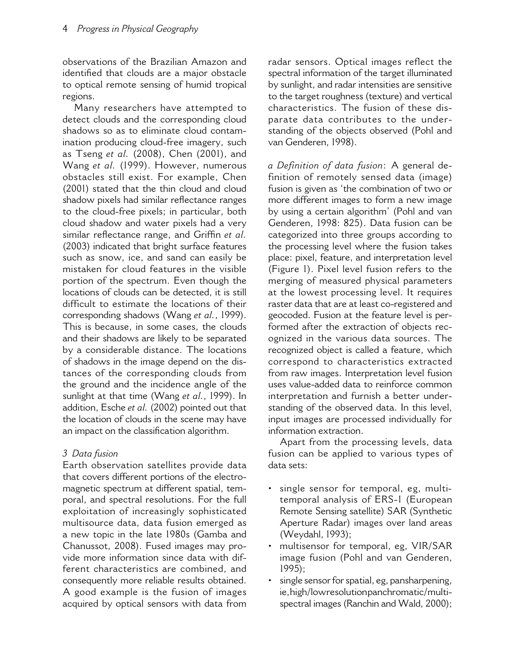observations of the Brazilian Amazon and identified that clouds are a major obstacle to optical remote sensing of humid tropical regions.

Many researchers have attempted to detect clouds and the corresponding cloud shadows so as to eliminate cloud contamination producing cloud-free imagery, such as Tseng *et al.* (2008), Chen (2001), and Wang *et al.* (1999). However, numerous obstacles still exist. For example, Chen (2001) stated that the thin cloud and cloud shadow pixels had similar reflectance ranges to the cloud-free pixels; in particular, both cloud shadow and water pixels had a very similar reflectance range, and Griffin et al. (2003) indicated that bright surface features such as snow, ice, and sand can easily be mistaken for cloud features in the visible portion of the spectrum. Even though the locations of clouds can be detected, it is still difficult to estimate the locations of their corresponding shadows (Wang *et al.*, 1999). This is because, in some cases, the clouds and their shadows are likely to be separated by a considerable distance. The locations of shadows in the image depend on the distances of the corresponding clouds from the ground and the incidence angle of the sunlight at that time (Wang *et al.*, 1999). In addition, Esche *et al.* (2002) pointed out that the location of clouds in the scene may have an impact on the classification algorithm.

## *3 Data fusion*

Earth observation satellites provide data that covers different portions of the electromagnetic spectrum at different spatial, temporal, and spectral resolutions. For the full exploitation of increasingly sophisticated multisource data, data fusion emerged as a new topic in the late 1980s (Gamba and Chanussot, 2008). Fused images may provide more information since data with different characteristics are combined, and consequently more reliable results obtained. A good example is the fusion of images acquired by optical sensors with data from radar sensors. Optical images reflect the spectral information of the target illuminated by sunlight, and radar intensities are sensitive to the target roughness (texture) and vertical characteristics. The fusion of these disparate data contributes to the understanding of the objects observed (Pohl and van Genderen, 1998).

*a Definition of data fusion*: A general definition of remotely sensed data (image) fusion is given as 'the combination of two or more different images to form a new image by using a certain algorithm' (Pohl and van Genderen, 1998: 825). Data fusion can be categorized into three groups according to the processing level where the fusion takes place: pixel, feature, and interpretation level (Figure 1). Pixel level fusion refers to the merging of measured physical parameters at the lowest processing level. It requires raster data that are at least co-registered and geocoded. Fusion at the feature level is performed after the extraction of objects recognized in the various data sources. The recognized object is called a feature, which correspond to characteristics extracted from raw images. Interpretation level fusion uses value-added data to reinforce common interpretation and furnish a better understanding of the observed data. In this level, input images are processed individually for information extraction.

Apart from the processing levels, data fusion can be applied to various types of data sets:

- single sensor for temporal, eg, multitemporal analysis of ERS-1 (European Remote Sensing satellite) SAR (Synthetic Aperture Radar) images over land areas (Weydahl, 1993);
- multisensor for temporal, eg, VIR/SAR image fusion (Pohl and van Genderen, 1995);
- single sensor for spatial, eg, pansharpening, ie, high/low resolution panchromatic/multispectral images (Ranchin and Wald, 2000);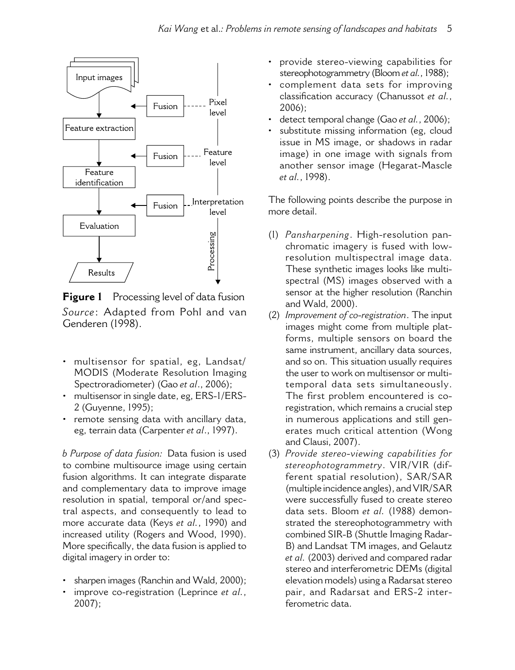

**Figure 1** Processing level of data fusion *Source*: Adapted from Pohl and van Genderen (1998).

- multisensor for spatial, eg, Landsat/ MODIS (Moderate Resolution Imaging Spectroradiometer) (Gao et al., 2006);
- multisensor in single date, eg, ERS-1/ERS-2 (Guyenne, 1995);
- remote sensing data with ancillary data, eg, terrain data (Carpenter *et al*., 1997).

*b Purpose of data fusion:* Data fusion is used to combine multisource image using certain fusion algorithms. It can integrate disparate and complementary data to improve image resolution in spatial, temporal or/and spectral aspects, and consequently to lead to more accurate data (Keys *et al.*, 1990) and increased utility (Rogers and Wood, 1990). More specifically, the data fusion is applied to digital imagery in order to:

- sharpen images (Ranchin and Wald, 2000);
- improve co-registration (Leprince *et al.*, 2007);
- provide stereo-viewing capabilities for stereophotogrammetry (Bloom *et al.*, 1988);
- complement data sets for improving classification accuracy (Chanussot et al., 2006);
- detect temporal change (Gao *et al.*, 2006);
- substitute missing information (eg, cloud issue in MS image, or shadows in radar image) in one image with signals from another sensor image (Hegarat-Mascle *et al.*, 1998).

The following points describe the purpose in more detail.

- (1) *Pansharpening*. High-resolution panchromatic imagery is fused with lowresolution multispectral image data. These synthetic images looks like multispectral (MS) images observed with a sensor at the higher resolution (Ranchin and Wald, 2000).
- (2) *Improvement of co-registration*. The input images might come from multiple platforms, multiple sensors on board the same instrument, ancillary data sources, and so on. This situation usually requires the user to work on multisensor or multitemporal data sets simultaneously. The first problem encountered is coregistration, which remains a crucial step in numerous applications and still generates much critical attention (Wong and Clausi, 2007).
- (3) *Provide stereo-viewing capabilities for stereophotogrammetry*. VIR/VIR (different spatial resolution), SAR/SAR (multiple incidence angles), and VIR/SAR were successfully fused to create stereo data sets. Bloom *et al.* (1988) demonstrated the stereophotogrammetry with combined SIR-B (Shuttle Imaging Radar-B) and Landsat TM images, and Gelautz *et al.* (2003) derived and compared radar stereo and interferometric DEMs (digital elevation models) using a Radarsat stereo pair, and Radarsat and ERS-2 interferometric data.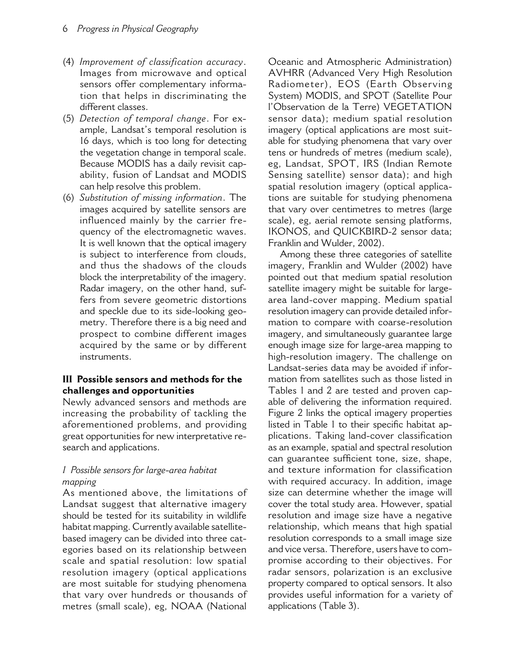- (4) *Improvement of classification accuracy*. Images from microwave and optical sensors offer complementary information that helps in discriminating the different classes.
- (5) *Detection of temporal change*. For example, Landsat's temporal resolution is 16 days, which is too long for detecting the vegetation change in temporal scale. Because MODIS has a daily revisit capability, fusion of Landsat and MODIS can help resolve this problem.
- (6) *Substitution of missing information*. The images acquired by satellite sensors are influenced mainly by the carrier frequency of the electromagnetic waves. It is well known that the optical imagery is subject to interference from clouds, and thus the shadows of the clouds block the interpretability of the imagery. Radar imagery, on the other hand, suffers from severe geometric distortions and speckle due to its side-looking geometry. Therefore there is a big need and prospect to combine different images acquired by the same or by different instruments.

#### **III Possible sensors and methods for the challenges and opportunities**

Newly advanced sensors and methods are increasing the probability of tackling the aforementioned problems, and providing great opportunities for new interpretative research and applications.

#### *1 Possible sensors for large-area habitat mapping*

As mentioned above, the limitations of Landsat suggest that alternative imagery should be tested for its suitability in wildlife habitat mapping. Currently available satellitebased imagery can be divided into three categories based on its relationship between scale and spatial resolution: low spatial resolution imagery (optical applications are most suitable for studying phenomena that vary over hundreds or thousands of metres (small scale), eg, NOAA (National

Oceanic and Atmospheric Administration) AVHRR (Advanced Very High Resolution Radiometer), EOS (Earth Observing System) MODIS, and SPOT (Satellite Pour l'Observation de la Terre) VEGETATION sensor data); medium spatial resolution imagery (optical applications are most suitable for studying phenomena that vary over tens or hundreds of metres (medium scale), eg, Landsat, SPOT, IRS (Indian Remote Sensing satellite) sensor data); and high spatial resolution imagery (optical applications are suitable for studying phenomena that vary over centimetres to metres (large scale), eg, aerial remote sensing platforms, IKONOS, and QUICKBIRD-2 sensor data; Franklin and Wulder, 2002).

Among these three categories of satellite imagery, Franklin and Wulder (2002) have pointed out that medium spatial resolution satellite imagery might be suitable for largearea land-cover mapping. Medium spatial resolution imagery can provide detailed information to compare with coarse-resolution imagery, and simultaneously guarantee large enough image size for large-area mapping to high-resolution imagery. The challenge on Landsat-series data may be avoided if information from satellites such as those listed in Tables 1 and 2 are tested and proven capable of delivering the information required. Figure 2 links the optical imagery properties listed in Table 1 to their specific habitat applications. Taking land-cover classification as an example, spatial and spectral resolution can guarantee sufficient tone, size, shape, and texture information for classification with required accuracy. In addition, image size can determine whether the image will cover the total study area. However, spatial resolution and image size have a negative relationship, which means that high spatial resolution corresponds to a small image size and vice versa. Therefore, users have to compromise according to their objectives. For radar sensors, polarization is an exclusive property compared to optical sensors. It also provides useful information for a variety of applications (Table 3).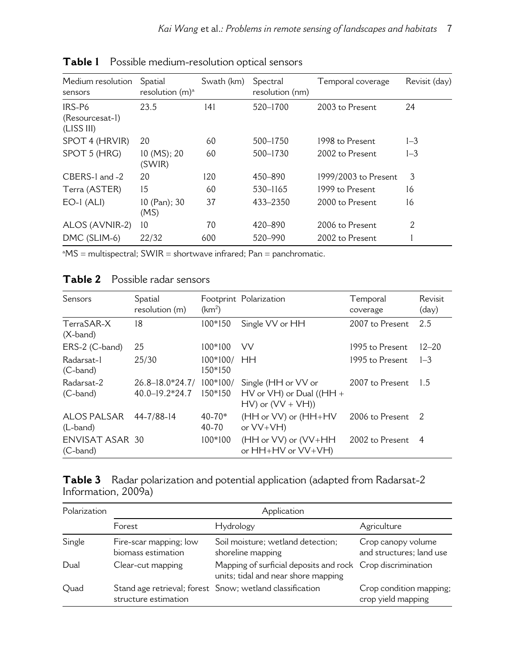| Medium resolution<br>sensors            | Spatial<br>resolution $(m)^a$ | Swath (km) | Spectral<br>resolution (nm) | Temporal coverage    | Revisit (day) |
|-----------------------------------------|-------------------------------|------------|-----------------------------|----------------------|---------------|
| IRS-P6<br>(Resourcesat-1)<br>(LISS III) | 23.5                          | 141        | 520-1700                    | 2003 to Present      | 24            |
| SPOT 4 (HRVIR)                          | 20                            | 60         | 500-1750                    | 1998 to Present      | $1 - 3$       |
| SPOT 5 (HRG)                            | 10 (MS); 20<br>(SWIR)         | 60         | 500-1730                    | 2002 to Present      | $1 - 3$       |
| CBERS-1 and -2                          | 20                            | 120        | 450-890                     | 1999/2003 to Present | 3             |
| Terra (ASTER)                           | 15                            | 60         | 530-1165                    | 1999 to Present      | 16            |
| $EO-I (ALI)$                            | $10$ (Pan); $30$<br>(MS)      | 37         | 433-2350                    | 2000 to Present      | 16            |
| ALOS (AVNIR-2)                          | 10                            | 70         | 420-890                     | 2006 to Present      | 2             |
| DMC (SLIM-6)                            | 22/32                         | 600        | 520-990                     | 2002 to Present      |               |

**Table 1** Possible medium-resolution optical sensors

a MS = multispectral; SWIR = shortwave infrared; Pan = panchromatic.

| Sensors                            | Spatial<br>resolution (m)                              | (km <sup>2</sup> )      | Footprint Polarization                                                            | Temporal<br>coverage | Revisit<br>(day) |
|------------------------------------|--------------------------------------------------------|-------------------------|-----------------------------------------------------------------------------------|----------------------|------------------|
| TerraSAR-X<br>$(X$ -band $)$       | 18                                                     | $100*150$               | Single VV or HH                                                                   | 2007 to Present      | 2.5              |
| ERS-2 (C-band)                     | 25                                                     | $100*100$               | VV                                                                                | 1995 to Present      | $12 - 20$        |
| Radarsat-1<br>$(C$ -band)          | 25/30                                                  | $100*100/$<br>$150*150$ | <b>HH</b>                                                                         | 1995 to Present      | $1 - 3$          |
| Radarsat-2<br>$(C$ -band)          | $26.8 - 18.0 \times 24.7$<br>$40.0 - 19.2 \times 24.7$ | $100*100/$<br>$150*150$ | Single (HH or VV or<br>$HV$ or $VH$ ) or $Dual$ (( $HH +$<br>$HV)$ or $(VV + VH)$ | 2007 to Present      | 1.5              |
| ALOS PALSAR<br>(L-band)            | 44-7/88-14                                             | $40 - 70*$<br>$40 - 70$ | $(HH or VV)$ or $(HH+HV)$<br>or $VV+VH$ )                                         | 2006 to Present      | 2                |
| <b>ENVISAT ASAR 30</b><br>(C-band) |                                                        | $100*100$               | $(HH or VV)$ or $(VV+HH)$<br>or $HH+HV$ or $VV+VH$ )                              | 2002 to Present      | 4                |

|                     | <b>Table 3</b> Radar polarization and potential application (adapted from Radarsat-2) |
|---------------------|---------------------------------------------------------------------------------------|
| Information, 2009a) |                                                                                       |

| Polarization | Application                                  |                                                                                                   |                                                |  |
|--------------|----------------------------------------------|---------------------------------------------------------------------------------------------------|------------------------------------------------|--|
|              | Forest                                       | Hydrology                                                                                         | Agriculture                                    |  |
| Single       | Fire-scar mapping; low<br>biomass estimation | Soil moisture; wetland detection;<br>shoreline mapping                                            | Crop canopy volume<br>and structures; land use |  |
| Dual         | Clear-cut mapping                            | Mapping of surficial deposits and rock Crop discrimination<br>units; tidal and near shore mapping |                                                |  |
| Ouad         | structure estimation                         | Stand age retrieval; forest Snow; wetland classification                                          | Crop condition mapping;<br>crop yield mapping  |  |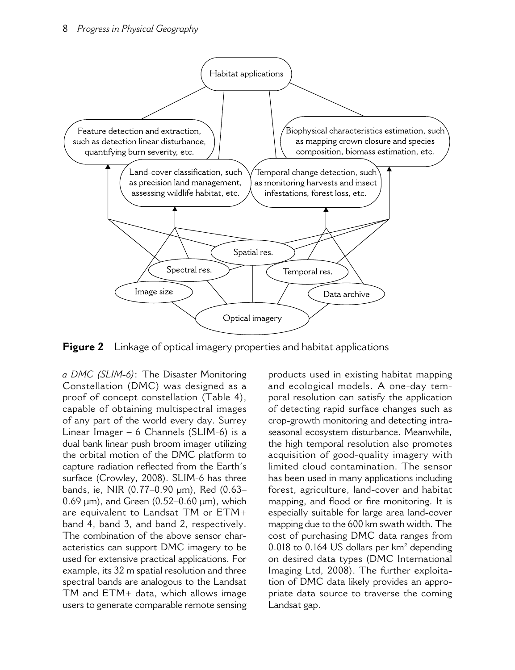

**Figure 2** Linkage of optical imagery properties and habitat applications

*a DMC (SLIM-6)*: The Disaster Monitoring Constellation (DMC) was designed as a proof of concept constellation (Table 4), capable of obtaining multispectral images of any part of the world every day. Surrey Linear Imager – 6 Channels (SLIM-6) is a dual bank linear push broom imager utilizing the orbital motion of the DMC platform to capture radiation reflected from the Earth's surface (Crowley, 2008). SLIM-6 has three bands, ie, NIR (0.77–0.90 µm), Red (0.63–  $0.69 \,\mu m$ ), and Green  $(0.52 - 0.60 \,\mu m)$ , which are equivalent to Landsat TM or ETM+ band 4, band 3, and band 2, respectively. The combination of the above sensor characteristics can support DMC imagery to be used for extensive practical applications. For example, its 32 m spatial resolution and three spectral bands are analogous to the Landsat TM and ETM+ data, which allows image users to generate comparable remote sensing

products used in existing habitat mapping and ecological models. A one-day temporal resolution can satisfy the application of detecting rapid surface changes such as crop-growth monitoring and detecting intraseasonal ecosystem disturbance. Meanwhile, the high temporal resolution also promotes acquisition of good-quality imagery with limited cloud contamination. The sensor has been used in many applications including forest, agriculture, land-cover and habitat mapping, and flood or fire monitoring. It is especially suitable for large area land-cover mapping due to the 600 km swath width. The cost of purchasing DMC data ranges from  $0.018$  to  $0.164$  US dollars per  $km^2$  depending on desired data types (DMC International Imaging Ltd, 2008). The further exploitation of DMC data likely provides an appropriate data source to traverse the coming Landsat gap.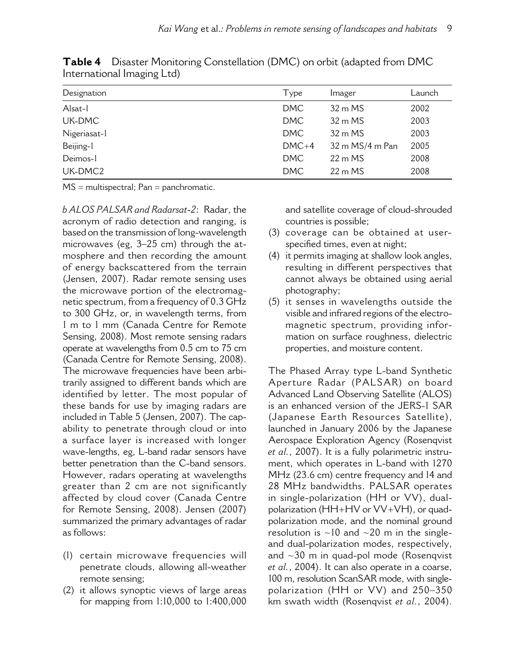| Designation         | Type       | Imager                    | Launch |
|---------------------|------------|---------------------------|--------|
| Alsat-1             | <b>DMC</b> | $32 \text{ m}$ MS         | 2002   |
| UK-DMC              | <b>DMC</b> | $32 \text{ m}$ MS         | 2003   |
| Nigeriasat-1        | <b>DMC</b> | $32 \text{ m}$ MS         | 2003   |
| Beijing-1           | $DMC+4$    | 32 m MS/4 m Pan           | 2005   |
| Deimos-1            | <b>DMC</b> | $22 \text{ m} \text{ MS}$ | 2008   |
| UK-DMC <sub>2</sub> | <b>DMC</b> | $22 \text{ m} \text{ MS}$ | 2008   |

**Table 4** Disaster Monitoring Constellation (DMC) on orbit (adapted from DMC International Imaging Ltd)

 $MS =$  multispectral; Pan  $=$  panchromatic.

*b ALOS PALSAR and Radarsat-2*: Radar, the acronym of radio detection and ranging, is based on the transmission of long-wavelength microwaves (eg, 3–25 cm) through the atmosphere and then recording the amount of energy backscattered from the terrain (Jensen, 2007). Radar remote sensing uses the microwave portion of the electromagnetic spectrum, from a frequency of 0.3 GHz to 300 GHz, or, in wavelength terms, from 1 m to 1 mm (Canada Centre for Remote Sensing, 2008). Most remote sensing radars operate at wavelengths from 0.5 cm to 75 cm (Canada Centre for Remote Sensing, 2008). The microwave frequencies have been arbitrarily assigned to different bands which are identified by letter. The most popular of these bands for use by imaging radars are included in Table 5 (Jensen, 2007). The capability to penetrate through cloud or into a surface layer is increased with longer wave-lengths, eg, L-band radar sensors have better penetration than the C-band sensors. However, radars operating at wavelengths greater than 2 cm are not significantly affected by cloud cover (Canada Centre for Remote Sensing, 2008). Jensen (2007) summarized the primary advantages of radar as follows:

- (1) certain microwave frequencies will penetrate clouds, allowing all-weather remote sensing;
- (2) it allows synoptic views of large areas for mapping from 1:10,000 to 1:400,000

and satellite coverage of cloud-shrouded countries is possible;

- (3) coverage can be obtained at userspecified times, even at night;
- (4) it permits imaging at shallow look angles, resulting in different perspectives that cannot always be obtained using aerial photography;
- (5) it senses in wavelengths outside the visible and infrared regions of the electromagnetic spectrum, providing information on surface roughness, dielectric properties, and moisture content.

The Phased Array type L-band Synthetic Aperture Radar (PALSAR) on board Advanced Land Observing Satellite (ALOS) is an enhanced version of the JERS-1 SAR (Japanese Earth Resources Satellite), launched in January 2006 by the Japanese Aerospace Exploration Agency (Rosenqvist *et al.*, 2007). It is a fully polarimetric instrument, which operates in L-band with 1270 MHz (23.6 cm) centre frequency and 14 and 28 MHz bandwidths. PALSAR operates in single-polarization (HH or VV), dualpolarization (HH+HV or VV+VH), or quadpolarization mode, and the nominal ground resolution is  $\sim$ 10 and  $\sim$ 20 m in the singleand dual-polarization modes, respectively, and ~30 m in quad-pol mode (Rosenqvist *et al.*, 2004). It can also operate in a coarse, 100 m, resolution ScanSAR mode, with singlepolarization (HH or VV) and 250–350 km swath width (Rosenqvist *et al.*, 2004).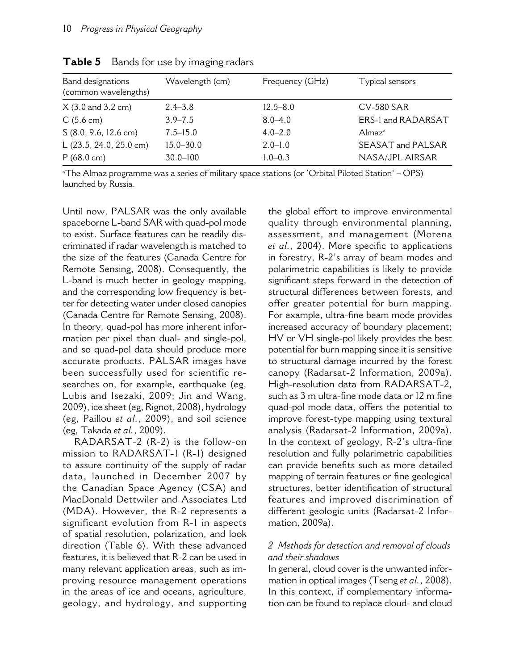| Band designations<br>(common wavelengths) | Wavelength (cm) | Frequency (GHz) | Typical sensors    |
|-------------------------------------------|-----------------|-----------------|--------------------|
| $X$ (3.0 and 3.2 cm)                      | $2.4 - 3.8$     | $12.5 - 8.0$    | <b>CV-580 SAR</b>  |
| $C(5.6 \text{ cm})$                       | $3.9 - 7.5$     | $8.0 - 4.0$     | ERS-1 and RADARSAT |
| $S(8.0, 9.6, 12.6$ cm)                    | $7.5 - 15.0$    | $4.0 - 2.0$     | Almax <sup>a</sup> |
| L $(23.5, 24.0, 25.0 \text{ cm})$         | $15.0 - 30.0$   | $2.0 - 1.0$     | SEASAT and PALSAR  |
| $P(68.0 \text{ cm})$                      | $30.0 - 100$    | $1.0 - 0.3$     | NASA/JPL AIRSAR    |

**Table 5** Bands for use by imaging radars

a The Almaz programme was a series of military space stations (or 'Orbital Piloted Station' – OPS) launched by Russia.

Until now, PALSAR was the only available spaceborne L-band SAR with quad-pol mode to exist. Surface features can be readily discriminated if radar wavelength is matched to the size of the features (Canada Centre for Remote Sensing, 2008). Consequently, the L-band is much better in geology mapping, and the corresponding low frequency is better for detecting water under closed canopies (Canada Centre for Remote Sensing, 2008). In theory, quad-pol has more inherent information per pixel than dual- and single-pol, and so quad-pol data should produce more accurate products. PALSAR images have been successfully used for scientific researches on, for example, earthquake (eg, Lubis and Isezaki, 2009; Jin and Wang, 2009), ice sheet (eg, Rignot, 2008), hydrology (eg, Paillou *et al.*, 2009), and soil science (eg, Takada *et al.*, 2009).

RADARSAT-2 (R-2) is the follow-on mission to RADARSAT-1 (R-1) designed to assure continuity of the supply of radar data, launched in December 2007 by the Canadian Space Agency (CSA) and MacDonald Dettwiler and Associates Ltd (MDA). However, the R-2 represents a significant evolution from R-1 in aspects of spatial resolution, polarization, and look direction (Table 6). With these advanced features, it is believed that R-2 can be used in many relevant application areas, such as improving resource management operations in the areas of ice and oceans, agriculture, geology, and hydrology, and supporting

the global effort to improve environmental quality through environmental planning, assessment, and management (Morena *et al.*, 2004). More specific to applications in forestry, R-2's array of beam modes and polarimetric capabilities is likely to provide significant steps forward in the detection of structural differences between forests, and offer greater potential for burn mapping. For example, ultra-fine beam mode provides increased accuracy of boundary placement; HV or VH single-pol likely provides the best potential for burn mapping since it is sensitive to structural damage incurred by the forest canopy (Radarsat-2 Information, 2009a). High-resolution data from RADARSAT-2, such as  $3$  m ultra-fine mode data or  $12$  m fine quad-pol mode data, offers the potential to improve forest-type mapping using textural analysis (Radarsat-2 Information, 2009a). In the context of geology, R-2's ultra-fine resolution and fully polarimetric capabilities can provide benefits such as more detailed mapping of terrain features or fine geological structures, better identification of structural features and improved discrimination of different geologic units (Radarsat-2 Information, 2009a).

#### *2 Methods for detection and removal of clouds and their shadows*

In general, cloud cover is the unwanted information in optical images (Tseng *et al.*, 2008). In this context, if complementary information can be found to replace cloud- and cloud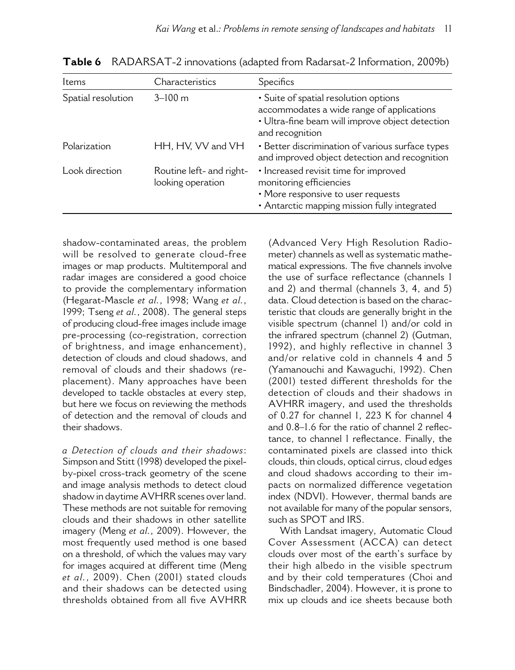| Items              | Characteristics                               | Specifics                                                                                                                                                |
|--------------------|-----------------------------------------------|----------------------------------------------------------------------------------------------------------------------------------------------------------|
| Spatial resolution | $3 - 100$ m                                   | · Suite of spatial resolution options<br>accommodates a wide range of applications<br>• Ultra-fine beam will improve object detection<br>and recognition |
| Polarization       | HH, HV, VV and VH                             | • Better discrimination of various surface types<br>and improved object detection and recognition                                                        |
| Look direction     | Routine left- and right-<br>looking operation | · Increased revisit time for improved<br>monitoring efficiencies<br>• More responsive to user requests<br>• Antarctic mapping mission fully integrated   |

**Table 6** RADARSAT-2 innovations (adapted from Radarsat-2 Information, 2009b)

shadow-contaminated areas, the problem will be resolved to generate cloud-free images or map products. Multitemporal and radar images are considered a good choice to provide the complementary information (Hegarat-Mascle *et al.*, 1998; Wang *et al.*, 1999; Tseng *et al.*, 2008). The general steps of producing cloud-free images include image pre-processing (co-registration, correction of brightness, and image enhancement), detection of clouds and cloud shadows, and removal of clouds and their shadows (replacement). Many approaches have been developed to tackle obstacles at every step, but here we focus on reviewing the methods of detection and the removal of clouds and their shadows.

*a Detection of clouds and their shadows*: Simpson and Stitt (1998) developed the pixelby-pixel cross-track geometry of the scene and image analysis methods to detect cloud shadow in daytime AVHRR scenes over land. These methods are not suitable for removing clouds and their shadows in other satellite imagery (Meng *et al.*, 2009). However, the most frequently used method is one based on a threshold, of which the values may vary for images acquired at different time (Meng *et al.*, 2009). Chen (2001) stated clouds and their shadows can be detected using thresholds obtained from all five AVHRR (Advanced Very High Resolution Radiometer) channels as well as systematic mathematical expressions. The five channels involve the use of surface reflectance (channels 1 and 2) and thermal (channels 3, 4, and 5) data. Cloud detection is based on the characteristic that clouds are generally bright in the visible spectrum (channel 1) and/or cold in the infrared spectrum (channel 2) (Gutman, 1992), and highly reflective in channel 3 and/or relative cold in channels 4 and 5 (Yamanouchi and Kawaguchi, 1992). Chen (2001) tested different thresholds for the detection of clouds and their shadows in AVHRR imagery, and used the thresholds of 0.27 for channel 1, 223 K for channel 4 and  $0.8-1.6$  for the ratio of channel 2 reflectance, to channel 1 reflectance. Finally, the contaminated pixels are classed into thick clouds, thin clouds, optical cirrus, cloud edges and cloud shadows according to their impacts on normalized difference vegetation index (NDVI). However, thermal bands are not available for many of the popular sensors, such as SPOT and IRS.

With Landsat imagery, Automatic Cloud Cover Assessment (ACCA) can detect clouds over most of the earth's surface by their high albedo in the visible spectrum and by their cold temperatures (Choi and Bindschadler, 2004). However, it is prone to mix up clouds and ice sheets because both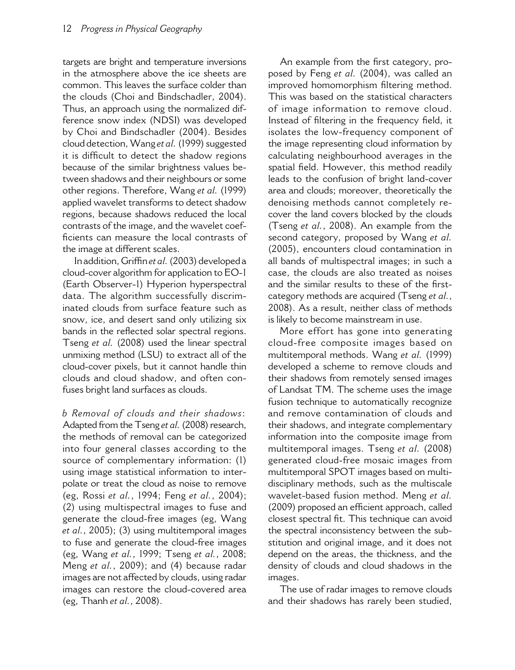targets are bright and temperature inversions in the atmosphere above the ice sheets are common. This leaves the surface colder than the clouds (Choi and Bindschadler, 2004). Thus, an approach using the normalized difference snow index (NDSI) was developed by Choi and Bindschadler (2004). Besides cloud detection, Wang *et al.* (1999) suggested it is difficult to detect the shadow regions because of the similar brightness values between shadows and their neighbours or some other regions. Therefore, Wang *et al.* (1999) applied wavelet transforms to detect shadow regions, because shadows reduced the local contrasts of the image, and the wavelet coefficients can measure the local contrasts of the image at different scales.

In addition, Griffin et al. (2003) developed a cloud-cover algorithm for application to EO-1 (Earth Observer-1) Hyperion hyperspectral data. The algorithm successfully discriminated clouds from surface feature such as snow, ice, and desert sand only utilizing six bands in the reflected solar spectral regions. Tseng *et al.* (2008) used the linear spectral unmixing method (LSU) to extract all of the cloud-cover pixels, but it cannot handle thin clouds and cloud shadow, and often confuses bright land surfaces as clouds.

*b Removal of clouds and their shadows*: Adapted from the Tseng *et al.* (2008) research, the methods of removal can be categorized into four general classes according to the source of complementary information: (1) using image statistical information to interpolate or treat the cloud as noise to remove (eg, Rossi *et al.*, 1994; Feng *et al.*, 2004); (2) using multispectral images to fuse and generate the cloud-free images (eg, Wang *et al.*, 2005); (3) using multitemporal images to fuse and generate the cloud-free images (eg, Wang *et al.*, 1999; Tseng *et al.*, 2008; Meng *et al.*, 2009); and (4) because radar images are not affected by clouds, using radar images can restore the cloud-covered area (eg, Thanh *et al.*, 2008).

An example from the first category, proposed by Feng *et al.* (2004), was called an improved homomorphism filtering method. This was based on the statistical characters of image information to remove cloud. Instead of filtering in the frequency field, it isolates the low-frequency component of the image representing cloud information by calculating neighbourhood averages in the spatial field. However, this method readily leads to the confusion of bright land-cover area and clouds; moreover, theoretically the denoising methods cannot completely recover the land covers blocked by the clouds (Tseng *et al.*, 2008). An example from the second category, proposed by Wang *et al.* (2005), encounters cloud contamination in all bands of multispectral images; in such a case, the clouds are also treated as noises and the similar results to these of the firstcategory methods are acquired (Tseng *et al.*, 2008). As a result, neither class of methods is likely to become mainstream in use.

More effort has gone into generating cloud-free composite images based on multitemporal methods. Wang *et al.* (1999) developed a scheme to remove clouds and their shadows from remotely sensed images of Landsat TM. The scheme uses the image fusion technique to automatically recognize and remove contamination of clouds and their shadows, and integrate complementary information into the composite image from multitemporal images. Tseng *et al.* (2008) generated cloud-free mosaic images from multitemporal SPOT images based on multidisciplinary methods, such as the multiscale wavelet-based fusion method. Meng *et al.* (2009) proposed an efficient approach, called closest spectral fit. This technique can avoid the spectral inconsistency between the substitution and original image, and it does not depend on the areas, the thickness, and the density of clouds and cloud shadows in the images.

The use of radar images to remove clouds and their shadows has rarely been studied,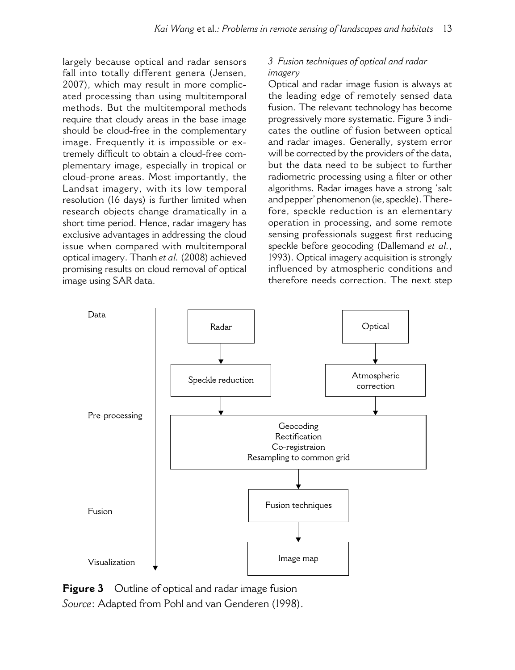largely because optical and radar sensors fall into totally different genera (Jensen, 2007), which may result in more complicated processing than using multitemporal methods. But the multitemporal methods require that cloudy areas in the base image should be cloud-free in the complementary image. Frequently it is impossible or extremely difficult to obtain a cloud-free complementary image, especially in tropical or cloud-prone areas. Most importantly, the Landsat imagery, with its low temporal resolution (16 days) is further limited when research objects change dramatically in a short time period. Hence, radar imagery has exclusive advantages in addressing the cloud issue when compared with multitemporal optical imagery. Thanh *et al.* (2008) achieved promising results on cloud removal of optical image using SAR data.

## *3 Fusion techniques of optical and radar imagery*

Optical and radar image fusion is always at the leading edge of remotely sensed data fusion. The relevant technology has become progressively more systematic. Figure 3 indicates the outline of fusion between optical and radar images. Generally, system error will be corrected by the providers of the data, but the data need to be subject to further radiometric processing using a filter or other algorithms. Radar images have a strong 'salt and pepper' phenomenon (ie, speckle). Therefore, speckle reduction is an elementary operation in processing, and some remote sensing professionals suggest first reducing speckle before geocoding (Dallemand *et al.*, 1993). Optical imagery acquisition is strongly influenced by atmospheric conditions and therefore needs correction. The next step



**Figure 3** Outline of optical and radar image fusion *Source*: Adapted from Pohl and van Genderen (1998).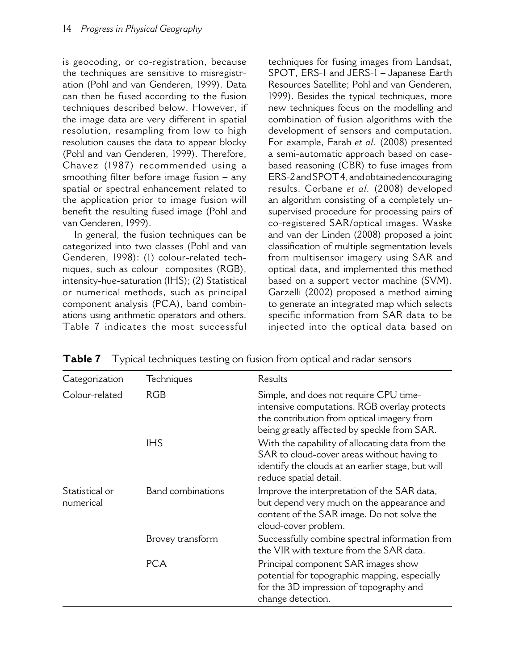is geocoding, or co-registration, because the techniques are sensitive to misregistration (Pohl and van Genderen, 1999). Data can then be fused according to the fusion techniques described below. However, if the image data are very different in spatial resolution, resampling from low to high resolution causes the data to appear blocky (Pohl and van Genderen, 1999). Therefore, Chavez (1987) recommended using a smoothing filter before image fusion  $-$  any spatial or spectral enhancement related to the application prior to image fusion will benefit the resulting fused image (Pohl and van Genderen, 1999).

In general, the fusion techniques can be categorized into two classes (Pohl and van Genderen, 1998): (1) colour-related techniques, such as colour composites (RGB), intensity-hue-saturation (IHS); (2) Statistical or numerical methods, such as principal component analysis (PCA), band combinations using arithmetic operators and others. Table 7 indicates the most successful

techniques for fusing images from Landsat, SPOT, ERS-1 and JERS-1 – Japanese Earth Resources Satellite; Pohl and van Genderen, 1999). Besides the typical techniques, more new techniques focus on the modelling and combination of fusion algorithms with the development of sensors and computation. For example, Farah *et al.* (2008) presented a semi-automatic approach based on casebased reasoning (CBR) to fuse images from ERS-2 and SPOT 4, and obtained encouraging results. Corbane *et al.* (2008) developed an algorithm consisting of a completely unsupervised procedure for processing pairs of co-registered SAR/optical images. Waske and van der Linden (2008) proposed a joint classification of multiple segmentation levels from multisensor imagery using SAR and optical data, and implemented this method based on a support vector machine (SVM). Garzelli (2002) proposed a method aiming to generate an integrated map which selects specific information from SAR data to be injected into the optical data based on

| Categorization              | Techniques        | Results                                                                                                                                                                             |
|-----------------------------|-------------------|-------------------------------------------------------------------------------------------------------------------------------------------------------------------------------------|
| Colour-related              | <b>RGB</b>        | Simple, and does not require CPU time-<br>intensive computations. RGB overlay protects<br>the contribution from optical imagery from<br>being greatly affected by speckle from SAR. |
|                             | <b>IHS</b>        | With the capability of allocating data from the<br>SAR to cloud-cover areas without having to<br>identify the clouds at an earlier stage, but will<br>reduce spatial detail.        |
| Statistical or<br>numerical | Band combinations | Improve the interpretation of the SAR data,<br>but depend very much on the appearance and<br>content of the SAR image. Do not solve the<br>cloud-cover problem.                     |
|                             | Brovey transform  | Successfully combine spectral information from<br>the VIR with texture from the SAR data.                                                                                           |
|                             | <b>PCA</b>        | Principal component SAR images show<br>potential for topographic mapping, especially<br>for the 3D impression of topography and<br>change detection.                                |

**Table 7** Typical techniques testing on fusion from optical and radar sensors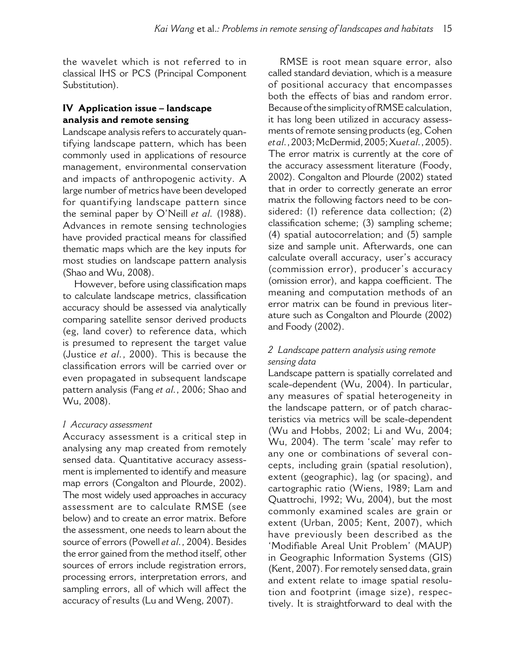the wavelet which is not referred to in classical IHS or PCS (Principal Component Substitution).

## **IV Application issue – landscape analysis and remote sensing**

Landscape analysis refers to accurately quantifying landscape pattern, which has been commonly used in applications of resource management, environmental conservation and impacts of anthropogenic activity. A large number of metrics have been developed for quantifying landscape pattern since the seminal paper by O'Neill *et al.* (1988). Advances in remote sensing technologies have provided practical means for classified thematic maps which are the key inputs for most studies on landscape pattern analysis (Shao and Wu, 2008).

However, before using classification maps to calculate landscape metrics, classification accuracy should be assessed via analytically comparing satellite sensor derived products (eg, land cover) to reference data, which is presumed to represent the target value (Justice *et al.*, 2000). This is because the classification errors will be carried over or even propagated in subsequent landscape pattern analysis (Fang *et al.*, 2006; Shao and Wu, 2008).

#### *1 Accuracy assessment*

Accuracy assessment is a critical step in analysing any map created from remotely sensed data. Quantitative accuracy assessment is implemented to identify and measure map errors (Congalton and Plourde, 2002). The most widely used approaches in accuracy assessment are to calculate RMSE (see below) and to create an error matrix. Before the assessment, one needs to learn about the source of errors (Powell *et al.*, 2004). Besides the error gained from the method itself, other sources of errors include registration errors, processing errors, interpretation errors, and sampling errors, all of which will affect the accuracy of results (Lu and Weng, 2007).

RMSE is root mean square error, also called standard deviation, which is a measure of positional accuracy that encompasses both the effects of bias and random error. Because of the simplicity of RMSE calculation, it has long been utilized in accuracy assessments of remote sensing products (eg, Cohen *et al.*, 2003; McDermid, 2005; Xu *et al.*, 2005). The error matrix is currently at the core of the accuracy assessment literature (Foody, 2002). Congalton and Plourde (2002) stated that in order to correctly generate an error matrix the following factors need to be considered: (1) reference data collection; (2) classification scheme; (3) sampling scheme; (4) spatial autocorrelation; and (5) sample size and sample unit. Afterwards, one can calculate overall accuracy, user's accuracy (commission error), producer's accuracy (omission error), and kappa coefficient. The meaning and computation methods of an error matrix can be found in previous literature such as Congalton and Plourde (2002) and Foody (2002).

#### *2 Landscape pattern analysis using remote sensing data*

Landscape pattern is spatially correlated and scale-dependent (Wu, 2004). In particular, any measures of spatial heterogeneity in the landscape pattern, or of patch characteristics via metrics will be scale-dependent (Wu and Hobbs, 2002; Li and Wu, 2004; Wu, 2004). The term 'scale' may refer to any one or combinations of several concepts, including grain (spatial resolution), extent (geographic), lag (or spacing), and cartographic ratio (Wiens, 1989; Lam and Quattrochi, 1992; Wu, 2004), but the most commonly examined scales are grain or extent (Urban, 2005; Kent, 2007), which have previously been described as the 'Modifiable Areal Unit Problem' (MAUP) in Geographic Information Systems (GIS) (Kent, 2007). For remotely sensed data, grain and extent relate to image spatial resolution and footprint (image size), respectively. It is straightforward to deal with the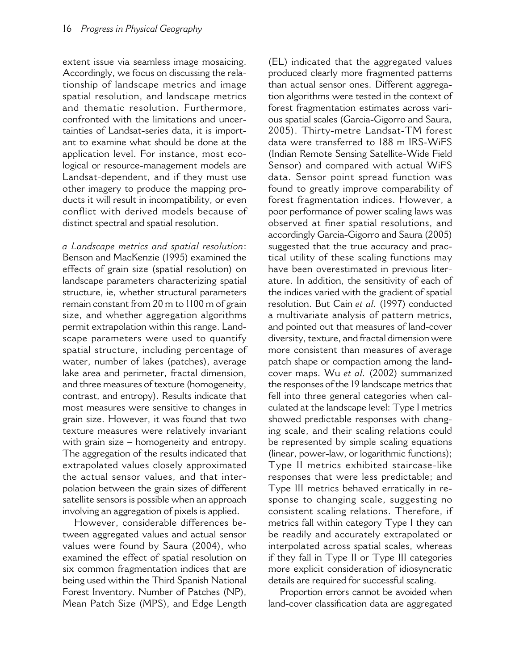extent issue via seamless image mosaicing. Accordingly, we focus on discussing the relationship of landscape metrics and image spatial resolution, and landscape metrics and thematic resolution. Furthermore, confronted with the limitations and uncertainties of Landsat-series data, it is important to examine what should be done at the application level. For instance, most ecological or resource-management models are Landsat-dependent, and if they must use other imagery to produce the mapping products it will result in incompatibility, or even conflict with derived models because of distinct spectral and spatial resolution.

*a Landscape metrics and spatial resolution*: Benson and MacKenzie (1995) examined the effects of grain size (spatial resolution) on landscape parameters characterizing spatial structure, ie, whether structural parameters remain constant from 20 m to 1100 m of grain size, and whether aggregation algorithms permit extrapolation within this range. Landscape parameters were used to quantify spatial structure, including percentage of water, number of lakes (patches), average lake area and perimeter, fractal dimension, and three measures of texture (homogeneity, contrast, and entropy). Results indicate that most measures were sensitive to changes in grain size. However, it was found that two texture measures were relatively invariant with grain size – homogeneity and entropy. The aggregation of the results indicated that extrapolated values closely approximated the actual sensor values, and that interpolation between the grain sizes of different satellite sensors is possible when an approach involving an aggregation of pixels is applied.

However, considerable differences between aggregated values and actual sensor values were found by Saura (2004), who examined the effect of spatial resolution on six common fragmentation indices that are being used within the Third Spanish National Forest Inventory. Number of Patches (NP), Mean Patch Size (MPS), and Edge Length (EL) indicated that the aggregated values produced clearly more fragmented patterns than actual sensor ones. Different aggregation algorithms were tested in the context of forest fragmentation estimates across various spatial scales (Garcia-Gigorro and Saura, 2005). Thirty-metre Landsat-TM forest data were transferred to 188 m IRS-WiFS (Indian Remote Sensing Satellite-Wide Field Sensor) and compared with actual WiFS data. Sensor point spread function was found to greatly improve comparability of forest fragmentation indices. However, a poor performance of power scaling laws was observed at finer spatial resolutions, and accordingly Garcia-Gigorro and Saura (2005) suggested that the true accuracy and practical utility of these scaling functions may have been overestimated in previous literature. In addition, the sensitivity of each of the indices varied with the gradient of spatial resolution. But Cain *et al.* (1997) conducted a multivariate analysis of pattern metrics, and pointed out that measures of land-cover diversity, texture, and fractal dimension were more consistent than measures of average patch shape or compaction among the landcover maps. Wu *et al.* (2002) summarized the responses of the 19 landscape metrics that fell into three general categories when calculated at the landscape level: Type I metrics showed predictable responses with changing scale, and their scaling relations could be represented by simple scaling equations (linear, power-law, or logarithmic functions); Type II metrics exhibited staircase-like responses that were less predictable; and Type III metrics behaved erratically in response to changing scale, suggesting no consistent scaling relations. Therefore, if metrics fall within category Type I they can be readily and accurately extrapolated or interpolated across spatial scales, whereas if they fall in Type II or Type III categories more explicit consideration of idiosyncratic details are required for successful scaling.

Proportion errors cannot be avoided when land-cover classification data are aggregated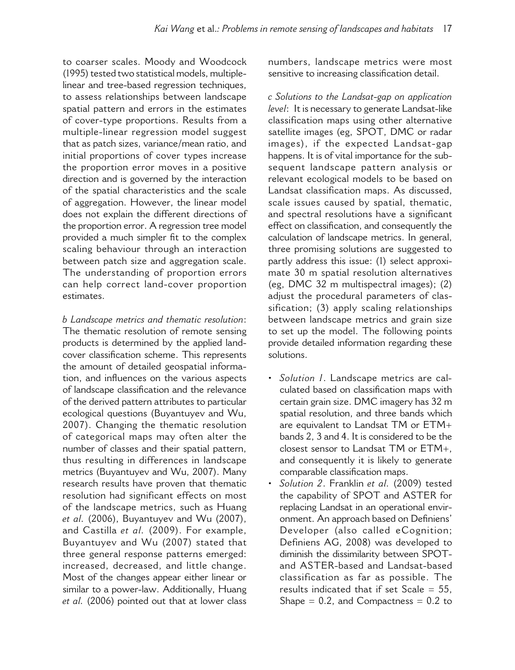to coarser scales. Moody and Woodcock (1995) tested two statistical models, multiplelinear and tree-based regression techniques, to assess relationships between landscape spatial pattern and errors in the estimates of cover-type proportions. Results from a multiple-linear regression model suggest that as patch sizes, variance/mean ratio, and initial proportions of cover types increase the proportion error moves in a positive direction and is governed by the interaction of the spatial characteristics and the scale of aggregation. However, the linear model does not explain the different directions of the proportion error. A regression tree model provided a much simpler fit to the complex scaling behaviour through an interaction between patch size and aggregation scale. The understanding of proportion errors can help correct land-cover proportion estimates.

*b Landscape metrics and thematic resolution*: The thematic resolution of remote sensing products is determined by the applied landcover classification scheme. This represents the amount of detailed geospatial information, and influences on the various aspects of landscape classification and the relevance of the derived pattern attributes to particular ecological questions (Buyantuyev and Wu, 2007). Changing the thematic resolution of categorical maps may often alter the number of classes and their spatial pattern, thus resulting in differences in landscape metrics (Buyantuyev and Wu, 2007). Many research results have proven that thematic resolution had significant effects on most of the landscape metrics, such as Huang *et al.* (2006), Buyantuyev and Wu (2007), and Castilla *et al.* (2009). For example, Buyantuyev and Wu (2007) stated that three general response patterns emerged: increased, decreased, and little change. Most of the changes appear either linear or similar to a power-law. Additionally, Huang *et al.* (2006) pointed out that at lower class

numbers, landscape metrics were most sensitive to increasing classification detail.

*c Solutions to the Landsat-gap on application level*: It is necessary to generate Landsat-like classification maps using other alternative satellite images (eg, SPOT, DMC or radar images), if the expected Landsat-gap happens. It is of vital importance for the subsequent landscape pattern analysis or relevant ecological models to be based on Landsat classification maps. As discussed, scale issues caused by spatial, thematic, and spectral resolutions have a significant effect on classification, and consequently the calculation of landscape metrics. In general, three promising solutions are suggested to partly address this issue: (1) select approximate 30 m spatial resolution alternatives (eg, DMC 32 m multispectral images); (2) adjust the procedural parameters of classification; (3) apply scaling relationships between landscape metrics and grain size to set up the model. The following points provide detailed information regarding these solutions.

- *Solution 1*. Landscape metrics are calculated based on classification maps with certain grain size. DMC imagery has 32 m spatial resolution, and three bands which are equivalent to Landsat TM or ETM+ bands 2, 3 and 4. It is considered to be the closest sensor to Landsat TM or ETM+, and consequently it is likely to generate comparable classification maps.
- *Solution 2*. Franklin *et al.* (2009) tested the capability of SPOT and ASTER for replacing Landsat in an operational environment. An approach based on Definiens' Developer (also called eCognition; Definiens AG, 2008) was developed to diminish the dissimilarity between SPOTand ASTER-based and Landsat-based classification as far as possible. The results indicated that if set  $Scale = 55$ , Shape  $= 0.2$ , and Compactness  $= 0.2$  to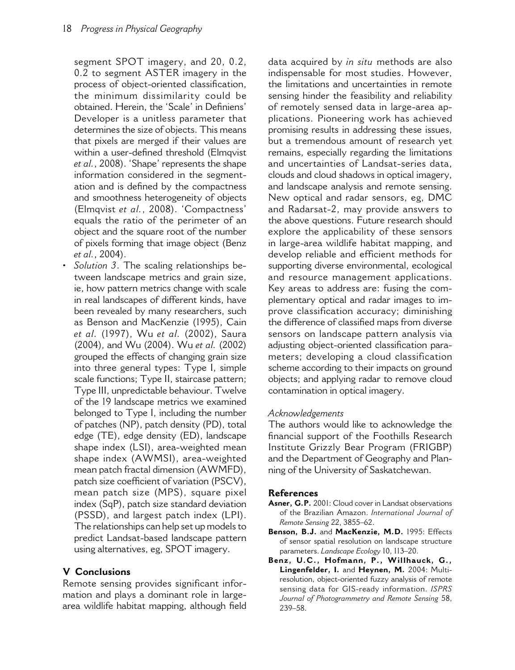segment SPOT imagery, and 20, 0.2, 0.2 to segment ASTER imagery in the process of object-oriented classification, the minimum dissimilarity could be obtained. Herein, the 'Scale' in Definiens' Developer is a unitless parameter that determines the size of objects. This means that pixels are merged if their values are within a user-defined threshold (Elmqvist *et al.*, 2008). 'Shape' represents the shape information considered in the segmentation and is defined by the compactness and smoothness heterogeneity of objects (Elmqvist *et al.*, 2008). 'Compactness' equals the ratio of the perimeter of an object and the square root of the number of pixels forming that image object (Benz *et al.*, 2004).

• *Solution 3*. The scaling relationships between landscape metrics and grain size, ie, how pattern metrics change with scale in real landscapes of different kinds, have been revealed by many researchers, such as Benson and MacKenzie (1995), Cain *et al.* (1997), Wu *et al.* (2002), Saura (2004), and Wu (2004). Wu *et al.* (2002) grouped the effects of changing grain size into three general types: Type I, simple scale functions; Type II, staircase pattern; Type III, unpredictable behaviour. Twelve of the 19 landscape metrics we examined belonged to Type I, including the number of patches (NP), patch density (PD), total edge (TE), edge density (ED), landscape shape index (LSI), area-weighted mean shape index (AWMSI), area-weighted mean patch fractal dimension (AWMFD), patch size coefficient of variation (PSCV), mean patch size (MPS), square pixel index (SqP), patch size standard deviation (PSSD), and largest patch index (LPI). The relationships can help set up models to predict Landsat-based landscape pattern using alternatives, eg, SPOT imagery.

## **V Conclusions**

Remote sensing provides significant information and plays a dominant role in largearea wildlife habitat mapping, although field data acquired by *in situ* methods are also indispensable for most studies. However, the limitations and uncertainties in remote sensing hinder the feasibility and reliability of remotely sensed data in large-area applications. Pioneering work has achieved promising results in addressing these issues, but a tremendous amount of research yet remains, especially regarding the limitations and uncertainties of Landsat-series data, clouds and cloud shadows in optical imagery, and landscape analysis and remote sensing. New optical and radar sensors, eg, DMC and Radarsat-2, may provide answers to the above questions. Future research should explore the applicability of these sensors in large-area wildlife habitat mapping, and develop reliable and efficient methods for supporting diverse environmental, ecological and resource management applications. Key areas to address are: fusing the complementary optical and radar images to improve classification accuracy; diminishing the difference of classified maps from diverse sensors on landscape pattern analysis via adjusting object-oriented classification parameters; developing a cloud classification scheme according to their impacts on ground objects; and applying radar to remove cloud contamination in optical imagery.

#### *Acknowledgements*

The authors would like to acknowledge the financial support of the Foothills Research Institute Grizzly Bear Program (FRIGBP) and the Department of Geography and Planning of the University of Saskatchewan.

#### **References**

- **Asner, G.P.** 2001: Cloud cover in Landsat observations of the Brazilian Amazon. *International Journal of Remote Sensing* 22, 3855–62.
- **Benson, B.J.** and **MacKenzie, M.D.** 1995: Effects of sensor spatial resolution on landscape structure parameters. *Landscape Ecology* 10, 113–20.
- **Benz, U.C., Hofmann, P., Willhauck, G., Lingenfelder, I.** and **Heynen, M.** 2004: Multiresolution, object-oriented fuzzy analysis of remote sensing data for GIS-ready information. *ISPRS Journal of Photogrammetry and Remote Sensing* 58, 239–58.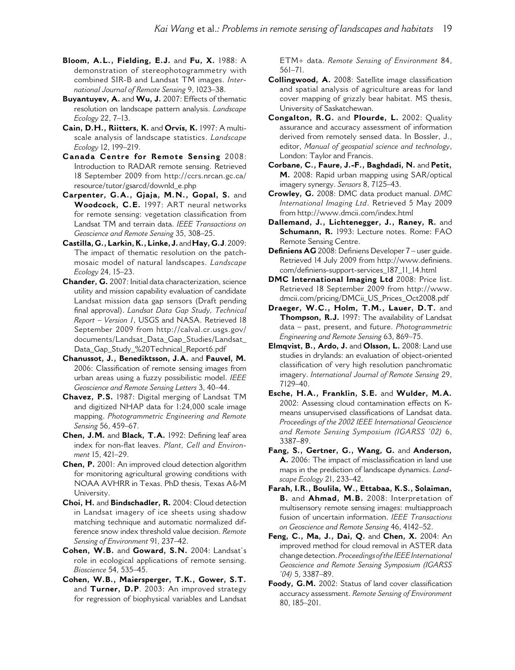- **Bloom, A.L., Fielding, E.J.** and **Fu, X.** 1988: A demonstration of stereophotogrammetry with combined SIR-B and Landsat TM images. *International Journal of Remote Sensing* 9, 1023–38.
- **Buyantuyev, A.** and **Wu, J.** 2007: Effects of thematic resolution on landscape pattern analysis. *Landscape Ecology* 22, 7–13.
- **Cain, D.H., Riitters, K.** and **Orvis, K.** 1997: A multiscale analysis of landscape statistics. *Landscape Ecology* 12, 199–219.
- **Canada Centre for Remote Sensing** 2008: Introduction to RADAR remote sensing. Retrieved 18 September 2009 from http://ccrs.nrcan.gc.ca/ resource/tutor/gsarcd/downld\_e.php
- **Carpenter, G.A., Gjaja, M.N., Gopal, S.** and **Woodcock, C.E.** 1997: ART neural networks for remote sensing: vegetation classification from Landsat TM and terrain data. *IEEE Transactions on Geoscience and Remote Sensing* 35, 308–25.
- **Castilla, G., Larkin, K., Linke, J.** and **Hay, G.J**. 2009: The impact of thematic resolution on the patchmosaic model of natural landscapes. *Landscape Ecology* 24, 15–23.
- **Chander, G.** 2007: Initial data characterization, science utility and mission capability evaluation of candidate Landsat mission data gap sensors (Draft pending final approval). *Landsat Data Gap Study*, Technical *Report* – *Version 1*, USGS and NASA. Retrieved 18 September 2009 from http://calval.cr.usgs.gov/ documents/Landsat\_Data\_Gap\_Studies/Landsat\_ Data\_Gap\_Study\_%20Technical\_Report6.pdf
- **Chanussot, J., Benediktsson, J.A.** and **Fauvel, M.** 2006: Classification of remote sensing images from urban areas using a fuzzy possibilistic model. *IEEE Geoscience and Remote Sensing Letters* 3, 40–44.
- **Chavez, P.S.** 1987: Digital merging of Landsat TM and digitized NHAP data for 1:24,000 scale image mapping. *Photogrammetric Engineering and Remote Sensing* 56, 459–67.
- Chen, J.M. and Black, T.A. 1992: Defining leaf area index for non-flat leaves. Plant, Cell and Environ*ment* 15, 421–29.
- **Chen, P.** 2001: An improved cloud detection algorithm for monitoring agricultural growing conditions with NOAA AVHRR in Texas. PhD thesis, Texas A&M University.
- **Choi, H.** and **Bindschadler, R.** 2004: Cloud detection in Landsat imagery of ice sheets using shadow matching technique and automatic normalized difference snow index threshold value decision. *Remote Sensing of Environment* 91, 237–42.
- **Cohen, W.B.** and **Goward, S.N.** 2004: Landsat's role in ecological applications of remote sensing. *Bioscience* 54, 535–45.
- **Cohen, W.B., Maiersperger, T.K., Gower, S.T.**  and **Turner, D.P**. 2003: An improved strategy for regression of biophysical variables and Landsat

ETM+ data. *Remote Sensing of Environment* 84, 561–71.

- **Collingwood, A.** 2008: Satellite image classification and spatial analysis of agriculture areas for land cover mapping of grizzly bear habitat. MS thesis, University of Saskatchewan.
- **Congalton, R.G.** and **Plourde, L.** 2002: Quality assurance and accuracy assessment of information derived from remotely sensed data. In Bossler, J., editor, *Manual of geospatial science and technology*, London: Taylor and Francis.
- **Corbane, C., Faure, J.-F., Baghdadi, N.** and **Petit, M.** 2008: Rapid urban mapping using SAR/optical imagery synergy. *Sensors* 8, 7125–43.
- **Crowley, G.** 2008: DMC data product manual. *DMC International Imaging Ltd*. Retrieved 5 May 2009 from http://www.dmcii.com/index.html
- **Dallemand, J., Lichtenegger, J., Raney, R.** and **Schumann, R.** 1993: Lecture notes. Rome: FAO Remote Sensing Centre.
- **Definiens AG** 2008: Definiens Developer 7 user guide. Retrieved 14 July 2009 from http://www.definiens. com/definiens-support-services\_187\_11\_14.html
- **DMC** International Imaging Ltd 2008: Price list. Retrieved 18 September 2009 from http://www. dmcii.com/pricing/DMCii\_US\_Prices\_Oct2008.pdf
- **Draeger, W.C., Holm, T.M., Lauer, D.T.** and **Thompson, R.J.** 1997: The availability of Landsat data – past, present, and future. *Photogrammetric Engineering and Remote Sensing* 63, 869–75.
- **Elmqvist, B., Ardo, J.** and **Olsson, L.** 2008: Land use studies in drylands: an evaluation of object-oriented classification of very high resolution panchromatic imagery. *International Journal of Remote Sensing* 29, 7129–40.
- **Esche, H.A., Franklin, S.E.** and **Wulder, M.A.** 2002: Assessing cloud contamination effects on Kmeans unsupervised classifications of Landsat data. *Proceedings of the 2002 IEEE International Geoscience and Remote Sensing Symposium (IGARSS '02)* 6, 3387–89.
- **Fang, S., Gertner, G., Wang, G.** and **Anderson,**  A. 2006: The impact of misclassification in land use maps in the prediction of landscape dynamics. *Landscape Ecology* 21, 233–42.
- **Farah, I.R., Boulila, W., Ettabaa, K.S., Solaiman, B.** and **Ahmad, M.B.** 2008: Interpretation of multisensory remote sensing images: multiapproach fusion of uncertain information. *IEEE Transactions on Geoscience and Remote Sensing* 46, 4142–52.
- **Feng, C., Ma, J., Dai, Q.** and **Chen, X.** 2004: An improved method for cloud removal in ASTER data change detection. *Proceedings of the IEEE International Geoscience and Remote Sensing Symposium (IGARSS '04)* 5, 3387–89.
- Foody, G.M. 2002: Status of land cover classification accuracy assessment. *Remote Sensing of Environment* 80, 185–201.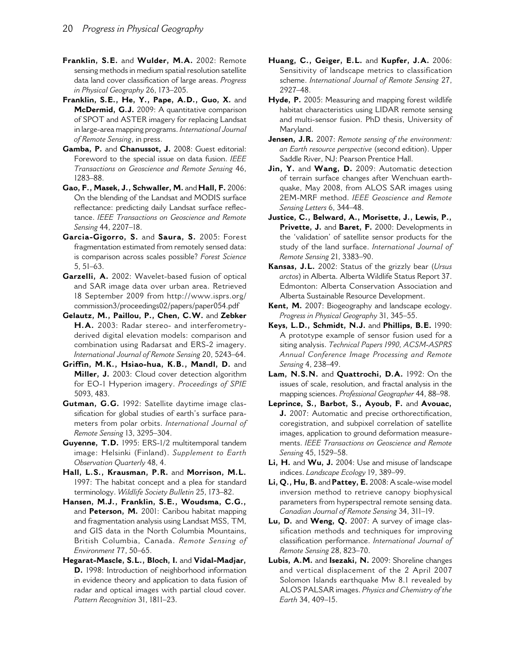- **Franklin, S.E.** and **Wulder, M.A.** 2002: Remote sensing methods in medium spatial resolution satellite data land cover classification of large areas. *Progress in Physical Geography* 26, 173–205.
- **Franklin, S.E., He, Y., Pape, A.D., Guo, X.** and **McDermid, G.J.** 2009: A quantitative comparison of SPOT and ASTER imagery for replacing Landsat in large-area mapping programs. *International Journal of Remote Sensing*, in press.
- **Gamba, P.** and **Chanussot, J.** 2008: Guest editorial: Foreword to the special issue on data fusion. *IEEE Transactions on Geoscience and Remote Sensing* 46, 1283–88.
- **Gao, F., Masek, J., Schwaller, M.** and **Hall, F.** 2006: On the blending of the Landsat and MODIS surface reflectance: predicting daily Landsat surface reflectance. *IEEE Transactions on Geoscience and Remote Sensing* 44, 2207–18.
- **Garcia-Gigorro, S.** and **Saura, S.** 2005: Forest fragmentation estimated from remotely sensed data: is comparison across scales possible? *Forest Science* 5, 51–63.
- **Garzelli, A.** 2002: Wavelet-based fusion of optical and SAR image data over urban area. Retrieved 18 September 2009 from http://www.isprs.org/ commission3/proceedings02/papers/paper054.pdf
- **Gelautz, M., Paillou, P., Chen, C.W.** and **Zebker H.A.** 2003: Radar stereo- and interferometryderived digital elevation models: comparison and combination using Radarsat and ERS-2 imagery. *International Journal of Remote Sensing* 20, 5243–64.
- **Griffin, M.K., Hsiao-hua, K.B., Mandl, D.** and **Miller, J.** 2003: Cloud cover detection algorithm for EO-1 Hyperion imagery. *Proceedings of SPIE* 5093, 483.
- **Gutman, G.G.** 1992: Satellite daytime image classification for global studies of earth's surface parameters from polar orbits. *International Journal of Remote Sensing* 13, 3295–304.
- **Guyenne, T.D.** 1995: ERS-1/2 multitemporal tandem image: Helsinki (Finland). *Supplement to Earth Observation Quarterly* 48, 4.
- **Hall, L.S., Krausman, P.R.** and **Morrison, M.L.** 1997: The habitat concept and a plea for standard terminology. *Wildlife Society Bulletin* 25, 173–82.
- **Hansen, M.J., Franklin, S.E., Woudsma, C.G.,** and **Peterson, M.** 2001: Caribou habitat mapping and fragmentation analysis using Landsat MSS, TM, and GIS data in the North Columbia Mountains, British Columbia, Canada. *Remote Sensing of Environment* 77, 50–65.
- **Hegarat-Mascle, S.L., Bloch, I.** and **Vidal-Madjar, D.** 1998: Introduction of neighborhood information in evidence theory and application to data fusion of radar and optical images with partial cloud cover*. Pattern Recognition* 31, 1811–23.
- **Huang, C., Geiger, E.L.** and **Kupfer, J.A.** 2006: Sensitivity of landscape metrics to classification scheme. *International Journal of Remote Sensing* 27, 2927–48.
- Hyde, P. 2005: Measuring and mapping forest wildlife habitat characteristics using LIDAR remote sensing and multi-sensor fusion. PhD thesis, University of Maryland.
- **Jensen, J.R.** 2007: *Remote sensing of the environment: an Earth resource perspective* (second edition). Upper Saddle River, NJ: Pearson Prentice Hall.
- Jin, Y. and Wang, D. 2009: Automatic detection of terrain surface changes after Wenchuan earthquake, May 2008, from ALOS SAR images using 2EM-MRF method. *IEEE Geoscience and Remote Sensing Letters* 6, 344–48.
- **Justice, C., Belward, A., Morisette, J., Lewis, P.,**  Privette, J. and Baret, F. 2000: Developments in the 'validation' of satellite sensor products for the study of the land surface. *International Journal of Remote Sensing* 21, 3383–90.
- **Kansas, J.L.** 2002: Status of the grizzly bear (*Ursus arctos*) in Alberta. Alberta Wildlife Status Report 37. Edmonton: Alberta Conservation Association and Alberta Sustainable Resource Development.
- **Kent, M.** 2007: Biogeography and landscape ecology. *Progress in Physical Geography* 31, 345–55.
- **Keys, L.D., Schmidt, N.J.** and **Phillips, B.E.** 1990: A prototype example of sensor fusion used for a siting analysis. *Technical Papers 1990, ACSM-ASPRS Annual Conference Image Processing and Remote Sensing* 4, 238–49.
- **Lam, N.S.N.** and **Quattrochi, D.A.** 1992: On the issues of scale, resolution, and fractal analysis in the mapping sciences. *Professional Geographer* 44, 88–98.
- **Leprince, S., Barbot, S., Ayoub, F.** and **Avouac, J.** 2007: Automatic and precise orthorectification, coregistration, and subpixel correlation of satellite images, application to ground deformation measurements. *IEEE Transactions on Geoscience and Remote Sensing* 45, 1529–58.
- Li, H. and Wu, J. 2004: Use and misuse of landscape indices. *Landscape Ecology* 19, 389–99.
- **Li, Q., Hu, B.** and **Pattey, E.** 2008: A scale-wise model inversion method to retrieve canopy biophysical parameters from hyperspectral remote sensing data. *Canadian Journal of Remote Sensing* 34, 311–19.
- **Lu, D.** and **Weng, Q.** 2007: A survey of image classification methods and techniques for improving classifi cation performance. *International Journal of Remote Sensing* 28, 823–70.
- **Lubis, A.M.** and **Isezaki, N.** 2009: Shoreline changes and vertical displacement of the 2 April 2007 Solomon Islands earthquake Mw 8.1 revealed by ALOS PALSAR images. *Physics and Chemistry of the Earth* 34, 409–15.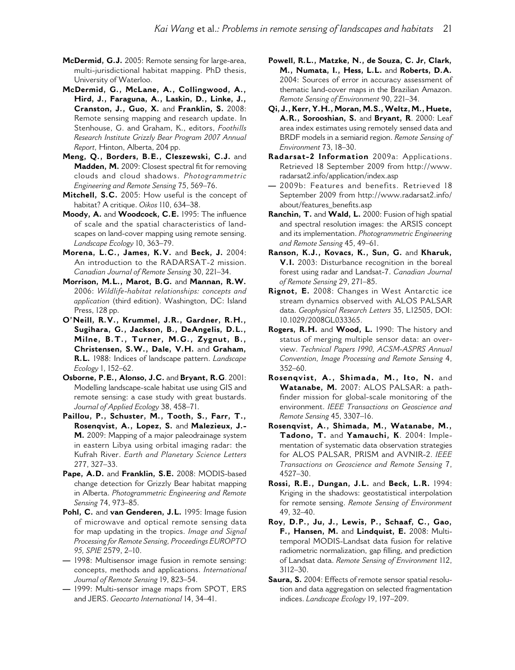- **McDermid, G.J.** 2005: Remote sensing for large-area, multi-jurisdictional habitat mapping. PhD thesis, University of Waterloo.
- **McDermid, G., McLane, A., Collingwood, A., Hird, J., Faraguna, A., Laskin, D., Linke, J., Cranston, J., Guo, X.** and **Franklin, S.** 2008: Remote sensing mapping and research update. In Stenhouse, G. and Graham, K., editors, *Foothills Research Institute Grizzly Bear Program 2007 Annual Report,* Hinton, Alberta, 204 pp.
- **Meng, Q., Borders, B.E., Cleszewski, C.J.** and Madden, M. 2009: Closest spectral fit for removing clouds and cloud shadows. *Photogrammetric Engineering and Remote Sensing* 75, 569–76.
- **Mitchell, S.C.** 2005: How useful is the concept of habitat? A critique. *Oikos* 110, 634–38.
- Moody, A. and Woodcock, C.E. 1995: The influence of scale and the spatial characteristics of landscapes on land-cover mapping using remote sensing. *Landscape Ecology* 10, 363–79.
- **Morena, L.C., James, K.V.** and **Beck, J.** 2004: An introduction to the RADARSAT-2 mission. *Canadian Journal of Remote Sensing* 30, 221–34.
- **Morrison, M.L., Marot, B.G.** and **Mannan, R.W.** 2006: *Wildlife-habitat relationships: concepts and application* (third edition). Washington, DC: Island Press, 128 pp.
- **O'Neill, R.V., Krummel, J.R., Gardner, R.H., Sugihara, G., Jackson, B., DeAngelis, D.L., Milne, B.T., Turner, M.G., Zygnut, B., Christensen, S.W., Dale, V.H.** and **Graham, R.L.** 1988: Indices of landscape pattern. *Landscape Ecology* 1, 152–62.
- **Osborne, P.E., Alonso, J.C.** and **Bryant, R.G**. 2001: Modelling landscape-scale habitat use using GIS and remote sensing: a case study with great bustards. *Journal of Applied Ecology* 38, 458–71.
- **Paillou, P., Schuster, M., Tooth, S., Farr, T., Rosenqvist, A., Lopez, S.** and **Malezieux, J.- M.** 2009: Mapping of a major paleodrainage system in eastern Libya using orbital imaging radar: the Kufrah River. *Earth and Planetary Science Letters* 277, 327–33.
- **Pape, A.D.** and **Franklin, S.E.** 2008: MODIS-based change detection for Grizzly Bear habitat mapping in Alberta. *Photogrammetric Engineering and Remote Sensing* 74, 973–85.
- Pohl, C. and van Genderen, J.L. 1995: Image fusion of microwave and optical remote sensing data for map updating in the tropics. *Image and Signal Processing for Remote Sensing, Proceedings EUROPTO 95, SPIE* 2579, 2–10.
- **—** 1998: Multisensor image fusion in remote sensing: concepts, methods and applications. *International Journal of Remote Sensing* 19, 823–54.
- **—** 1999: Multi-sensor image maps from SPOT, ERS and JERS. *Geocarto International* 14, 34–41.
- **Powell, R.L., Matzke, N., de Souza, C. Jr, Clark, M., Numata, I., Hess, L.L.** and **Roberts, D.A.**  2004: Sources of error in accuracy assessment of thematic land-cover maps in the Brazilian Amazon. *Remote Sensing of Environment* 90, 221–34.
- **Qi, J., Kerr, Y.H., Moran, M.S., Weltz, M., Huete, A.R., Sorooshian, S.** and **Bryant, R**. 2000: Leaf area index estimates using remotely sensed data and BRDF models in a semiarid region. *Remote Sensing of Environment* 73, 18–30.
- **Radarsat-2 Information** 2009a: Applications. Retrieved 18 September 2009 from http://www. radarsat2.info/application/index.asp
- 2009b: Features and benefits. Retrieved 18 September 2009 from http://www.radarsat2.info/ about/features\_benefits.asp
- **Ranchin, T.** and **Wald, L.** 2000: Fusion of high spatial and spectral resolution images: the ARSIS concept and its implementation. *Photogrammetric Engineering and Remote Sensing* 45, 49–61.
- **Ranson, K.J., Kovacs, K., Sun, G.** and **Kharuk, V.I.** 2003: Disturbance recognition in the boreal forest using radar and Landsat-7. *Canadian Journal of Remote Sensing* 29, 271–85.
- **Rignot, E.** 2008: Changes in West Antarctic ice stream dynamics observed with ALOS PALSAR data. *Geophysical Research Letters* 35, L12505, DOI: 10.1029/2008GL033365.
- **Rogers, R.H.** and **Wood, L.** 1990: The history and status of merging multiple sensor data: an overview. *Technical Papers 1990, ACSM-ASPRS Annual Convention, Image Processing and Remote Sensing* 4, 352–60.
- **Rosenqvist, A., Shimada, M., Ito, N.** and **Watanabe, M.** 2007: ALOS PALSAR: a pathfinder mission for global-scale monitoring of the environment. *IEEE Transactions on Geoscience and Remote Sensing* 45, 3307–16.
- **Rosenqvist, A., Shimada, M., Watanabe, M., Tadono, T.** and **Yamauchi, K**. 2004: Implementation of systematic data observation strategies for ALOS PALSAR, PRISM and AVNIR-2. *IEEE Transactions on Geoscience and Remote Sensing* 7, 4527–30.
- **Rossi, R.E., Dungan, J.L.** and **Beck, L.R.** 1994: Kriging in the shadows: geostatistical interpolation for remote sensing. *Remote Sensing of Environment*  49, 32–40.
- **Roy, D.P., Ju, J., Lewis, P., Schaaf, C., Gao, F., Hansen, M.** and **Lindquist, E.** 2008: Multitemporal MODIS-Landsat data fusion for relative radiometric normalization, gap filling, and prediction of Landsat data. *Remote Sensing of Environment* 112, 3112–30.
- **Saura, S.** 2004: Effects of remote sensor spatial resolution and data aggregation on selected fragmentation indices. *Landscape Ecology* 19, 197–209.